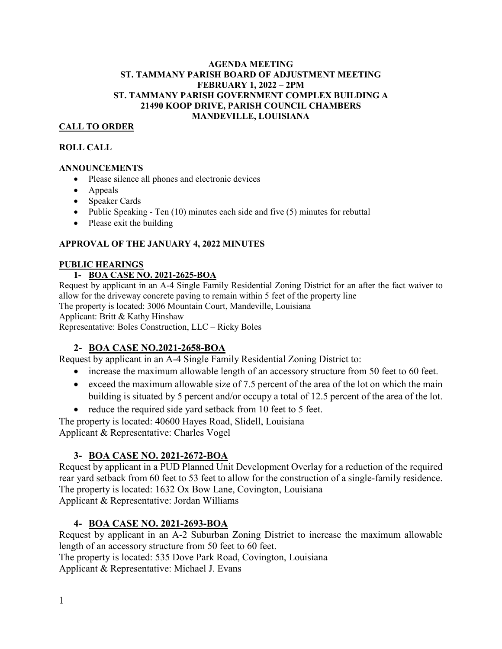#### **AGENDA MEETING ST. TAMMANY PARISH BOARD OF ADJUSTMENT MEETING FEBRUARY 1, 2022 – 2PM ST. TAMMANY PARISH GOVERNMENT COMPLEX BUILDING A 21490 KOOP DRIVE, PARISH COUNCIL CHAMBERS MANDEVILLE, LOUISIANA**

## **CALL TO ORDER**

#### **ROLL CALL**

#### **ANNOUNCEMENTS**

- Please silence all phones and electronic devices
- Appeals
- Speaker Cards
- Public Speaking Ten  $(10)$  minutes each side and five  $(5)$  minutes for rebuttal
- Please exit the building

### **APPROVAL OF THE JANUARY 4, 2022 MINUTES**

#### **PUBLIC HEARINGS**

### **1- BOA CASE NO. 2021-2625-BOA**

Request by applicant in an A-4 Single Family Residential Zoning District for an after the fact waiver to allow for the driveway concrete paving to remain within 5 feet of the property line The property is located: 3006 Mountain Court, Mandeville, Louisiana Applicant: Britt & Kathy Hinshaw Representative: Boles Construction, LLC – Ricky Boles

### **2- BOA CASE NO.2021-2658-BOA**

Request by applicant in an A-4 Single Family Residential Zoning District to:

- increase the maximum allowable length of an accessory structure from 50 feet to 60 feet.
- exceed the maximum allowable size of 7.5 percent of the area of the lot on which the main building is situated by 5 percent and/or occupy a total of 12.5 percent of the area of the lot.
- reduce the required side yard setback from 10 feet to 5 feet.

The property is located: 40600 Hayes Road, Slidell, Louisiana Applicant & Representative: Charles Vogel

## **3- BOA CASE NO. 2021-2672-BOA**

Request by applicant in a PUD Planned Unit Development Overlay for a reduction of the required rear yard setback from 60 feet to 53 feet to allow for the construction of a single-family residence. The property is located: 1632 Ox Bow Lane, Covington, Louisiana Applicant & Representative: Jordan Williams

## **4- BOA CASE NO. 2021-2693-BOA**

Request by applicant in an A-2 Suburban Zoning District to increase the maximum allowable length of an accessory structure from 50 feet to 60 feet.

The property is located: 535 Dove Park Road, Covington, Louisiana Applicant & Representative: Michael J. Evans